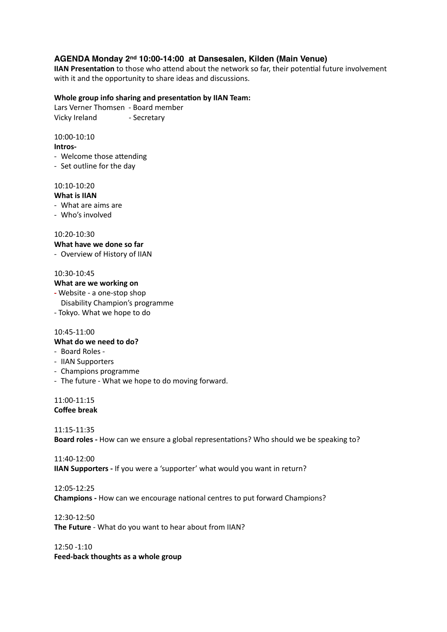# **AGENDA Monday 2nd 10:00-14:00 at Dansesalen, Kilden (Main Venue)**

**IIAN Presentation** to those who attend about the network so far, their potential future involvement with it and the opportunity to share ideas and discussions.

### **Whole group info sharing and presentation by IIAN Team:**

Lars Verner Thomsen - Board member Vicky Ireland Funder Secretary

10:00-10:10 Intros-

- Welcome those attending
- Set outline for the day

## 10:10-10:20

### **What is IIAN**

- What are aims are
- Who's involved

10:20-10:30 

**What have we done so far** 

- Overview of History of IIAN

### 10:30-10:45

### **What are we working on**

- Website a one-stop shop
- Disability Champion's programme
- Tokyo. What we hope to do

#### 10:45-11:00

## **What do we need to do?**

- Board Roles -
- IIAN Supporters
- Champions programme
- The future What we hope to do moving forward.

11:00-11:15 **Coffee break** 

11:15-11:35 

**Board roles** - How can we ensure a global representations? Who should we be speaking to?

11:40-12:00 **IIAN Supporters** - If you were a 'supporter' what would you want in return?

12:05-12:25 **Champions** - How can we encourage national centres to put forward Champions?

12:30-12:50 

**The Future** - What do you want to hear about from IIAN?

12:50 -1:10 **Feed-back thoughts as a whole group**